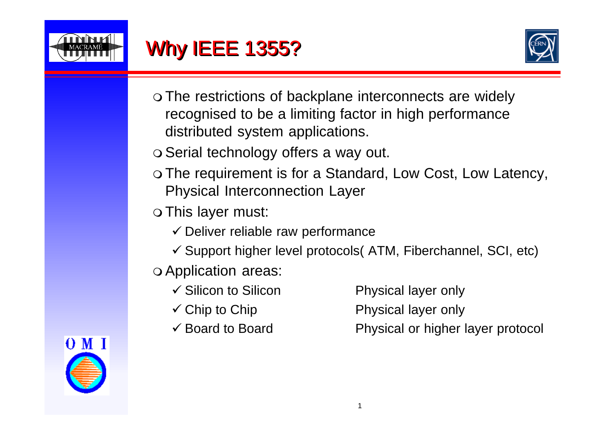



- The restrictions of backplane interconnects are widely recognised to be a limiting factor in high performance distributed system applications.
- o Serial technology offers a way out.
- o The requirement is for a Standard, Low Cost, Low Latency, Physical Interconnection Layer
- This layer must:
	- $\checkmark$  Deliver reliable raw performance
	- $\checkmark$  Support higher level protocols (ATM, Fiberchannel, SCI, etc)
- Application areas:
	- $\checkmark$  Silicon to Silicon Physical layer only
	-
	-

- $\checkmark$  Chip to Chip  $\checkmark$  Physical layer only
- $\checkmark$  Board to Board Physical or higher layer protocol

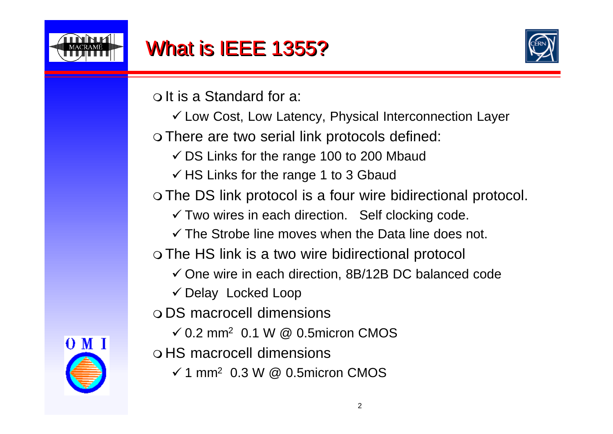

### What is IEEE 1355?



It is a Standard for a:

 $\checkmark$  Low Cost, Low Latency, Physical Interconnection Layer

There are two serial link protocols defined:

 $\checkmark$  DS Links for the range 100 to 200 Mbaud

 $\checkmark$  HS Links for the range 1 to 3 Gbaud

The DS link protocol is a four wire bidirectional protocol.

 $\checkmark$  Two wires in each direction. Self clocking code.

 $\checkmark$  The Strobe line moves when the Data line does not.

The HS link is a two wire bidirectional protocol

 $\checkmark$  One wire in each direction, 8B/12B DC balanced code

 $\checkmark$  Delay Locked Loop

DS macrocell dimensions

0.2 mm<sup>2</sup> 0.1 W @ 0.5micron CMOS

HS macrocell dimensions

1 mm<sup>2</sup> 0.3 W @ 0.5micron CMOS

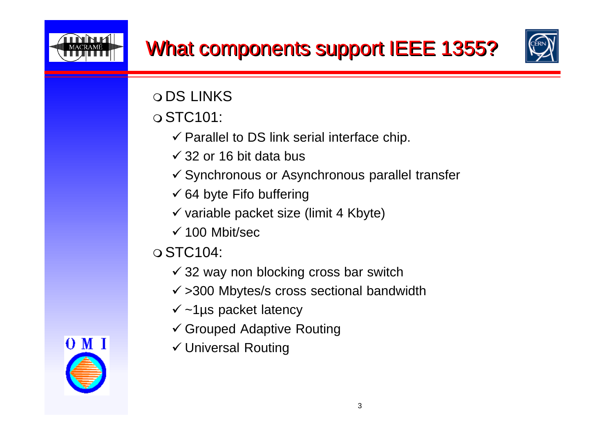



ODS LINKS

STC101:

- $\checkmark$  Parallel to DS link serial interface chip.
- $\checkmark$  32 or 16 bit data bus
- $\checkmark$  Synchronous or Asynchronous parallel transfer
- $\checkmark$  64 byte Fifo buffering
- $\checkmark$  variable packet size (limit 4 Kbyte)
- $\checkmark$  100 Mbit/sec
- $\circ$  STC104:
	- $\checkmark$  32 way non blocking cross bar switch
	- $\checkmark$  >300 Mbytes/s cross sectional bandwidth
	- $\checkmark$  ~1µs packet latency
	- Grouped Adaptive Routing
	- Universal Routing

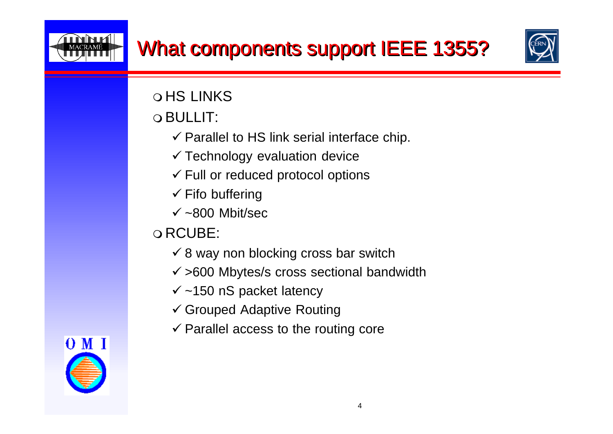## What components support IEEE 1355?



**OHS LINKS** 

BULLIT:

- $\checkmark$  Parallel to HS link serial interface chip.
- $\checkmark$  Technology evaluation device
- $\checkmark$  Full or reduced protocol options
- $\checkmark$  Fifo buffering
- $\sqrt{\sim}800$  Mbit/sec

#### RCUBE:

- $\checkmark$  8 way non blocking cross bar switch
- $\checkmark$  >600 Mbytes/s cross sectional bandwidth
- $\checkmark$  ~150 nS packet latency
- Grouped Adaptive Routing
- $\checkmark$  Parallel access to the routing core

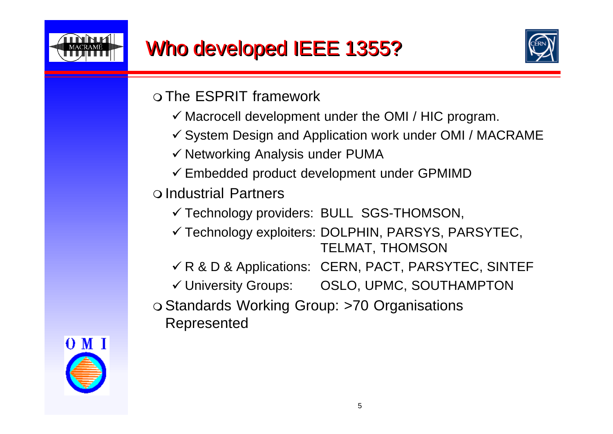



 $\Omega$  The ESPRIT framework

- $\checkmark$  Macrocell development under the OMI / HIC program.
- $\checkmark$  System Design and Application work under OMI / MACRAME
- $\checkmark$  Networking Analysis under PUMA
- $\checkmark$  Embedded product development under GPMIMD

#### Industrial Partners

- Technology providers: BULL SGS-THOMSON,
- $\checkmark$  Technology exploiters: DOLPHIN, PARSYS, PARSYTEC, TELMAT, THOMSON
- $\nu$  R & D & Applications: CERN, PACT, PARSYTEC, SINTEF
- University Groups: OSLO, UPMC, SOUTHAMPTON
- o Standards Working Group: >70 Organisations Represented

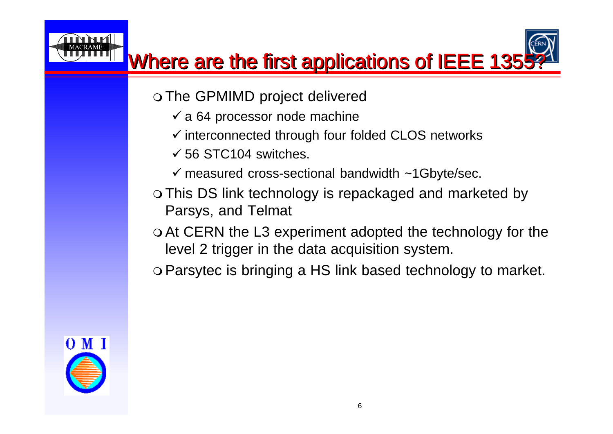

# Where are the first applications of IEEE 1355

- o The GPMIMD project delivered
	- $\checkmark$  a 64 processor node machine
	- $\checkmark$  interconnected through four folded CLOS networks
	- $\checkmark$  56 STC104 switches.
	- $\checkmark$  measured cross-sectional bandwidth ~1Gbyte/sec.
- This DS link technology is repackaged and marketed by Parsys, and Telmat
- o At CERN the L3 experiment adopted the technology for the level 2 trigger in the data acquisition system.
- Parsytec is bringing a HS link based technology to market.

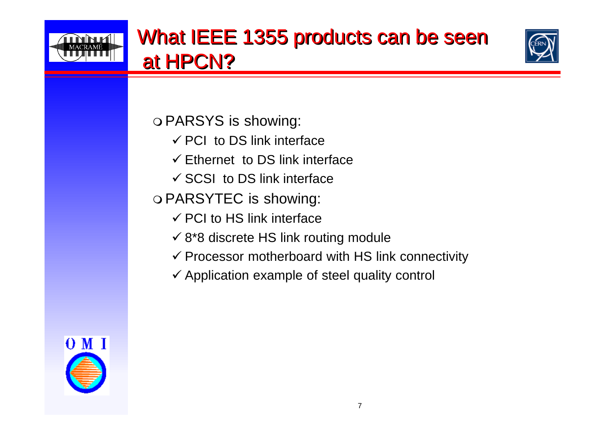



PARSYS is showing:

- $\checkmark$  PCI to DS link interface
- $\checkmark$  Ethernet to DS link interface
- $\checkmark$  SCSI to DS link interface
- PARSYTEC is showing:
	- $\checkmark$  PCI to HS link interface
	- $\checkmark$  8\*8 discrete HS link routing module
	- $\checkmark$  Processor motherboard with HS link connectivity
	- $\checkmark$  Application example of steel quality control